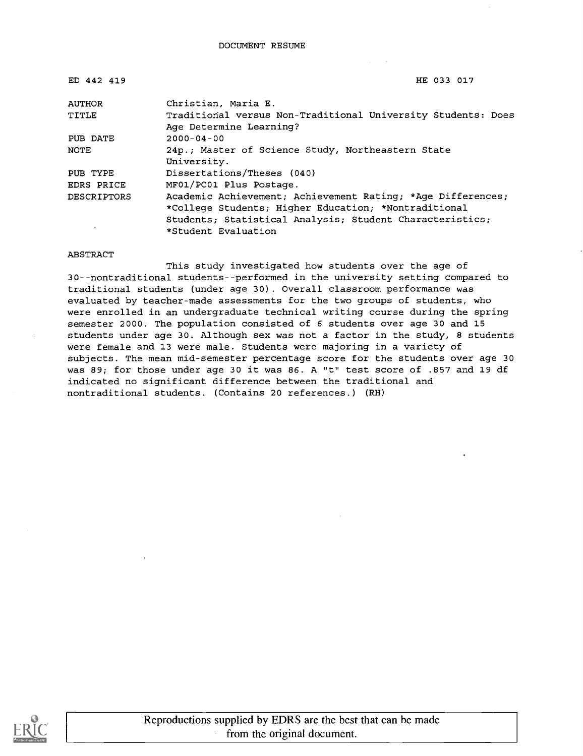| ED 442 419         | HE 033 017                                                                              |
|--------------------|-----------------------------------------------------------------------------------------|
| AUTHOR             | Christian, Maria E.                                                                     |
| TITLE              | Traditional versus Non-Traditional University Students: Does<br>Age Determine Learning? |
| PUB DATE           | $2000 - 04 - 00$                                                                        |
| NOTE               | 24p.; Master of Science Study, Northeastern State<br>University.                        |
| PUB TYPE           | Dissertations/Theses (040)                                                              |
| EDRS PRICE         | MF01/PC01 Plus Postage.                                                                 |
| <b>DESCRIPTORS</b> | Academic Achievement; Achievement Rating; *Age Differences;                             |
|                    | *College Students; Higher Education; *Nontraditional                                    |
|                    | Students; Statistical Analysis; Student Characteristics;                                |
|                    | *Student Evaluation                                                                     |

#### ABSTRACT

This study investigated how students over the age of 30--nontraditional students--performed in the university setting compared to traditional students (under age 30). Overall classroom performance was evaluated by teacher-made assessments for the two groups of students, who were enrolled in an undergraduate technical writing course during the spring semester 2000. The population consisted of 6 students over age 30 and 15 students under age 30. Although sex was not a factor in the study, 8 students were female and 13 were male. Students were majoring in a variety of subjects. The mean mid-semester percentage score for the students over age 30 was 89; for those under age 30 it was 86. A "t" test score of .857 and 19 df indicated no significant difference between the traditional and nontraditional students. (Contains 20 references.) (RH)

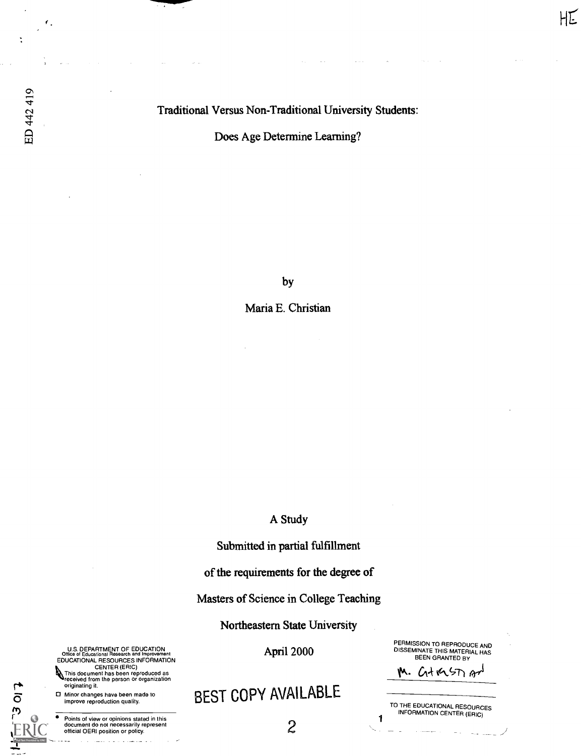Traditional Versus Non-Traditional University Students:

Does Age Determine Learning?

by

Maria E. Christian

A Study

Submitted in partial fulfillment

of the requirements for the degree of

Masters of Science in College Teaching

Northeastern State University

April 2000

BEST COPY AVAILABLE

PERMISSION TO REPRODUCE AND DISSEMINATE THIS MATERIAL HAS BEEN GRANTED BY

1

M. GtashAn

HE

TO THE EDUCATIONAL RESOURCES INFORMATION CENTER (ERIC)

U.S. DEPARTMENT OF EDUCATION<br>Office of Educational Research and Improvement Office of Educational Research and Improvement<br>EDUCATIONAL RESOURCES INFORMATION<br>CENTER (ERIC)<br>This document has been reproduced as<br>received from the person or organization

originating it.

0 Minor changes have been made to improve reproduction quality.

 $5012$ 

Points of view or opinions stated in this document do not necessarily represent official OERI position or policy.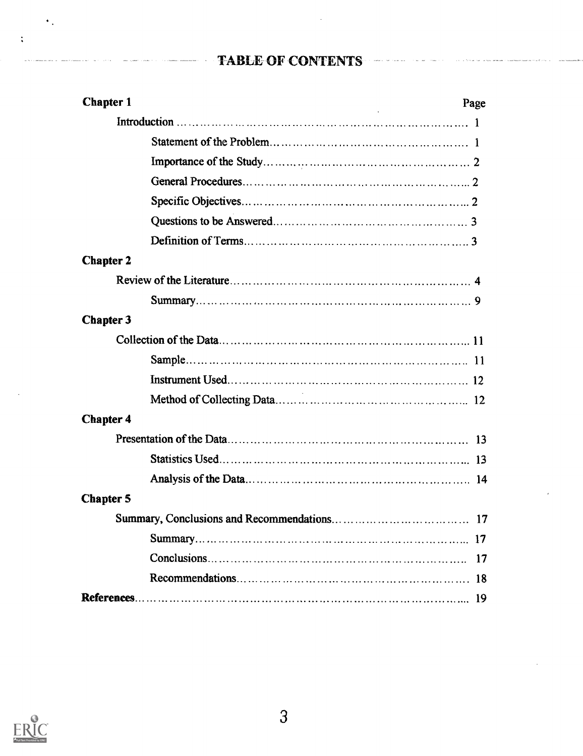# TABLE-OF CONTENTS

 $\sim$ 

| <b>Chapter 1</b> | Page |
|------------------|------|
|                  |      |
|                  |      |
|                  |      |
|                  |      |
|                  |      |
|                  |      |
|                  |      |
| <b>Chapter 2</b> |      |
|                  |      |
|                  |      |
| <b>Chapter 3</b> |      |
|                  |      |
|                  |      |
|                  |      |
|                  |      |
| <b>Chapter 4</b> |      |
|                  |      |
|                  |      |
|                  |      |
| <b>Chapter 5</b> |      |
|                  |      |
|                  | 17   |
|                  | 17   |
|                  |      |
|                  | 19   |



 $\bullet$  .

 $\ddot{\cdot}$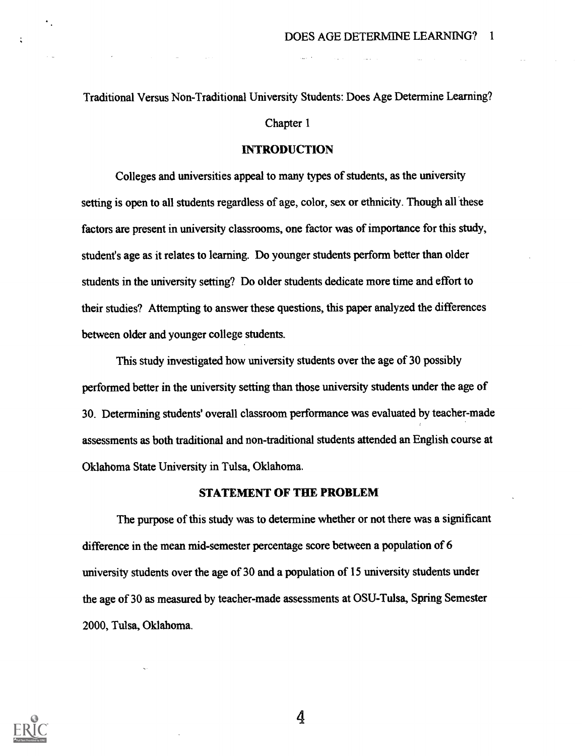Traditional Versus Non-Traditional University Students: Does Age Determine Learning?

Chapter 1

#### INTRODUCTION

Colleges and universities appeal to many types of students, as the university setting is open to all students regardless of age, color, sex or ethnicity. Though all these factors are present in university classrooms, one factor was of importance for this study, student's age as it relates to learning. Do younger students perform better than older students in the university setting? Do older students dedicate more time and effort to their studies? Attempting to answer these questions, this paper analyzed the differences between older and younger college students.

This study investigated bow university students over the age of 30 possibly performed better in the university setting than those university students under the age of 30. Determining students' overall classroom performance was evaluated by teacher-made assessments as both traditional and non-traditional students attended an English course at Oklahoma State University in Tulsa, Oklahoma.

#### STATEMENT OF THE PROBLEM

The purpose of this study was to determine whether or not there was a significant difference in the mean mid-semester percentage score between a population of 6 university students over the age of 30 and a population of 15 university students under the age of 30 as measured by teacher-made assessments at OSU-Tulsa, Spring Semester 2000, Tulsa, Oklahoma.

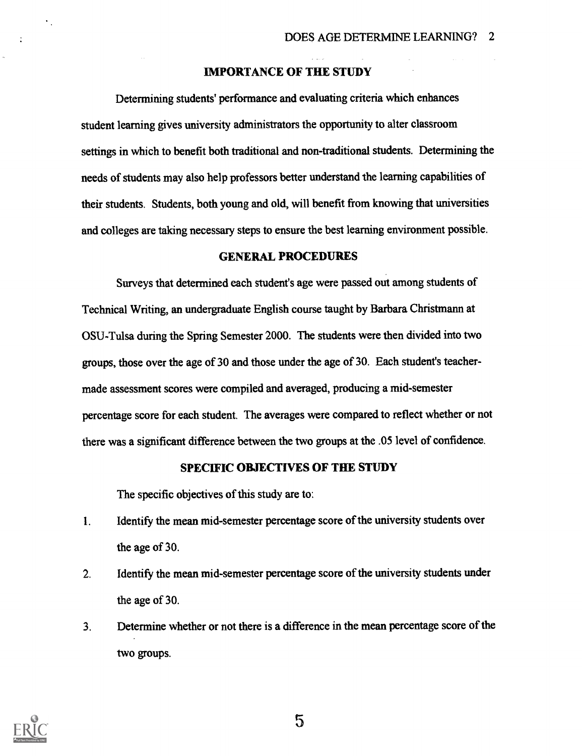#### IMPORTANCE OF THE STUDY

Determining students' performance and evaluating criteria which enhances student learning gives university administrators the opportunity to alter classroom settings in which to benefit both traditional and non-traditional students. Determining the needs of students may also help professors better understand the learning capabilities of their students. Students, both young and old, will benefit from knowing that universities and colleges are taking necessary steps to ensure the best learning environment possible.

#### GENERAL PROCEDURES

Surveys that determined each student's age were passed out among students of Technical Writing, an undergraduate English course taught by Barbara Christmann at OSU-Tulsa during the Spring Semester 2000. The students were then divided into two groups, those over the age of 30 and those under the age of 30. Each student's teachermade assessment scores were compiled and averaged, producing a mid-semester percentage score for each student. The averages were compared to reflect whether or not there was a significant difference between the two groups at the .05 level of confidence.

#### SPECIFIC OBJECTIVES OF THE STUDY

The specific objectives of this study are to:

- 1. Identify the mean mid-semester percentage score of the university students over the age of 30.
- 2. Identify the mean mid-semester percentage score of the university students under the age of 30.
- 3. Determine whether or not there is a difference in the mean percentage score of the two groups.



٠.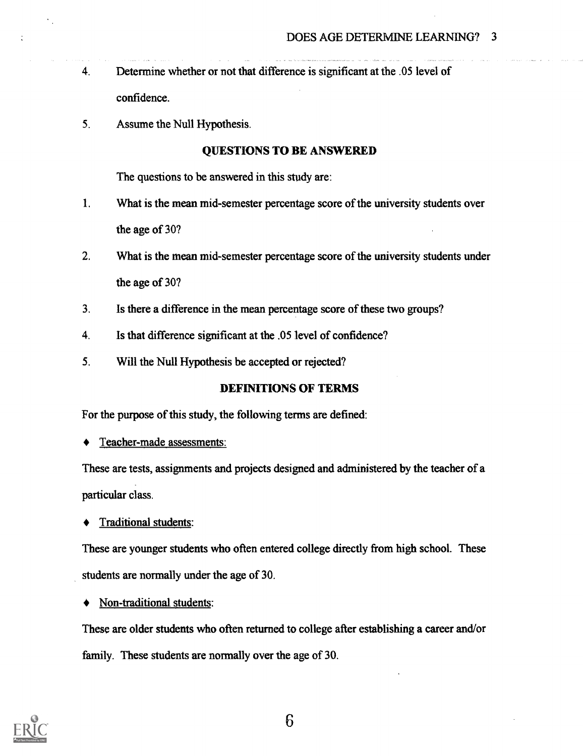- 4. Determine whether or not that difference is significant at the .05 level of confidence.
- 5. Assume the Null Hypothesis.

### QUESTIONS TO BE ANSWERED

The questions to be answered in this study are:

- 1. What is the mean mid-semester percentage score of the university students over the age of 30?
- 2. What is the mean mid-semester percentage score of the university students under the age of 30?
- 3. Is there a difference in the mean percentage score of these two groups?
- 4. Is that difference significant at the .05 level of confidence?
- 5. Will the Null Hypothesis be accepted or rejected?

### DEFINITIONS OF TERMS

For the purpose of this study, the following terms are defined:

Teacher-made assessments:

These are tests, assignments and projects designed and administered by the teacher of a particular class.

Traditional students:

These are younger students who often entered college directly from high school. These students are normally under the age of 30.

Non-traditional students:

These are older students who often returned to college after establishing a career and/or family. These students are normally over the age of 30.

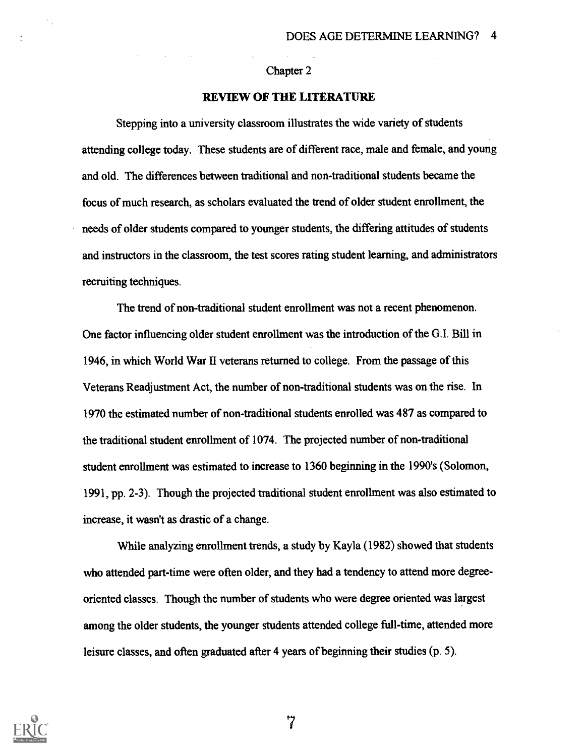#### Chapter 2

#### REVIEW OF THE LITERATURE

Stepping into a university classroom illustrates the wide variety of students attending college today. These students are of different race, male and female, and young and old. The differences between traditional and non-traditional students became the focus of much research, as scholars evaluated the trend of older student enrollment, the needs of older students compared to younger students, the differing attitudes of students and instructors in the classroom, the test scores rating student learning, and administrators recruiting techniques.

The trend of non-traditional student enrollment was not a recent phenomenon. One factor influencing older student enrollment was the introduction of the G.I. Bill in 1946, in which World War II veterans returned to college. From the passage of this Veterans Readjustment Act, the number of non-traditional students was on the rise. In 1970 the estimated number of non-traditional students enrolled was 487 as compared to the traditional student enrollment of 1074. The projected number of non-traditional student enrollment was estimated to increase to 1360 beginning in the 1990's (Solomon, 1991, pp. 2-3). Though the projected traditional student enrollment was also estimated to increase, it wasn't as drastic of a change.

While analyzing enrollment trends, a study by Kayla (1982) showed that students who attended part-time were often older, and they had a tendency to attend more degreeoriented classes. Though the number of students who were degree oriented was largest among the older students, the younger students attended college full-time, attended more leisure classes, and often graduated after 4 years of beginning their studies (p. 5).



÷

<u>י</u>י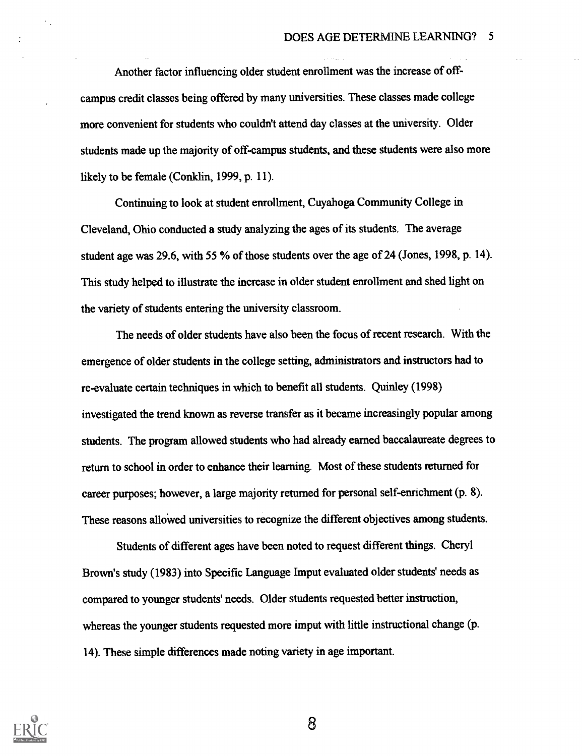Another factor influencing older student enrollment was the increase of offcampus credit classes being offered by many universities. These classes made college more convenient for students who couldn't attend day classes at the university. Older students made up the majority of off-campus students, and these students were also more likely to be female (Conklin, 1999, p. 11).

Continuing to look at student enrollment, Cuyahoga Community College in Cleveland, Ohio conducted a study analyzing the ages of its students. The average student age was 29.6, with 55 % of those students over the age of 24 (Jones, 1998, p. 14). This study helped to illustrate the increase in older student enrollment and shed light on the variety of students entering the university classroom.

The needs of older students have also been the focus of recent research. With the emergence of older students in the college setting, administrators and instructors had to re-evaluate certain techniques in which to benefit all students. Quinley (1998) investigated the trend known as reverse transfer as it became increasingly popular among students. The program allowed students who had already earned baccalaureate degrees to return to school in order to enhance their learning. Most of these students returned for career purposes; however, a large majority returned for personal self-enrichment(p. 8). These reasons allowed universities to recognize the different objectives among students.

Students of different ages have been noted to request different things. Cheryl Brown's study (1983) into Specific Language Imput evaluated older students' needs as compared to younger students' needs. Older students requested better instruction, whereas the younger students requested more imput with little instructional change (p. 14). These simple differences made noting variety in age important.

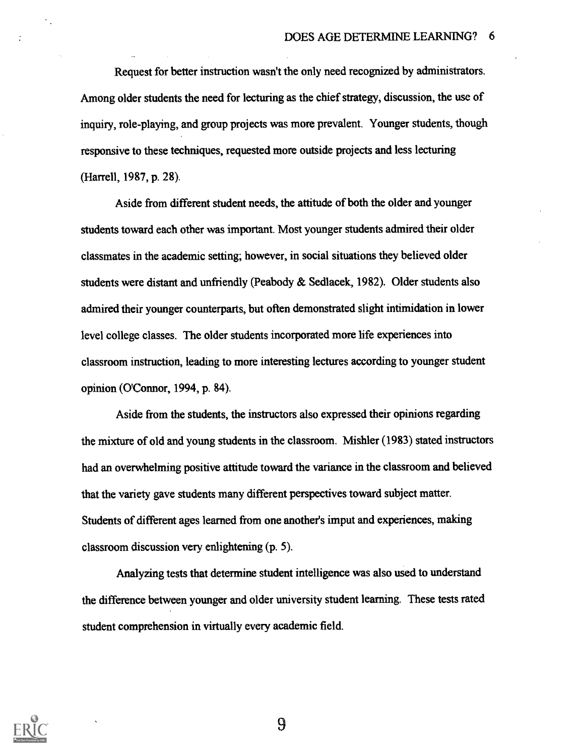Request for better instruction wasn't the only need recognized by administrators. Among older students the need for lecturing as the chief strategy, discussion, the use of inquiry, role-playing, and group projects was more prevalent. Younger students, though responsive to these techniques, requested more outside projects and less lecturing (Harrell, 1987, p. 28).

Aside from different student needs, the attitude of both the older and younger students toward each other was important. Most younger students admired their older classmates in the academic setting; however, in social situations they believed older students were distant and unfriendly (Peabody & Sedlacek, 1982). Older students also admired their younger counterparts, but often demonstrated slight intimidation in lower level college classes. The older students incorporated more life experiences into classroom instruction, leading to more interesting lectures according to younger student opinion (O'Connor, 1994, p. 84).

Aside from the students, the instructors also expressed their opinions regarding the mixture of old and young students in the classroom. Mishler (1983) stated instructors had an overwhelming positive attitude toward the variance in the classroom and believed that the variety gave students many different perspectives toward subject matter. Students of different ages learned from one another's imput and experiences, making classroom discussion very enlightening (p. 5).

Analyzing tests that determine student intelligence was also used to understand the difference between younger and older university student learning. These tests rated student comprehension in virtually every academic field.

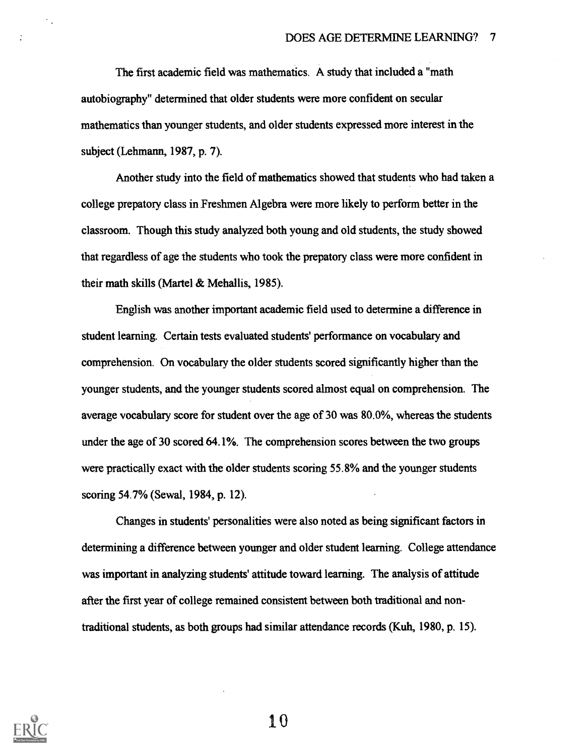The first academic field was mathematics. A study that included a "math autobiography" determined that older students were more confident on secular mathematics than younger students, and older students expressed more interest in the subject (Lehmann, 1987, p. 7).

Another study into the field of mathematics showed that students who had taken a college prepatory class in Freshmen Algebra were more likely to perform better in the classroom. Though this study analyzed both young and old students, the study showed that regardless of age the students who took the prepatory class were more confident in their math skills (Martel & Mehallis, 1985).

English was another important academic field used to determine a difference in student learning. Certain tests evaluated students' performance on vocabulary and comprehension. On vocabulary the older students scored significantly higher than the younger students, and the younger students scored almost equal on comprehension. The average vocabulary score for student over the age of 30 was 80.0%, whereas the students under the age of 30 scored 64.1%. The comprehension scores between the two groups were practically exact with the older students scoring 55.8% and the younger students scoring 54.7% (Sewal, 1984, p. 12).

Changes in students' personalities were also noted as being significant factors in determining a difference between younger and older student learning. College attendance was important in analyzing students' attitude toward learning. The analysis of attitude after the first year of college remained consistent between both traditional and nontraditional students, as both groups had similar attendance records (Kuh, 1980, p. 15).



 $\epsilon$  .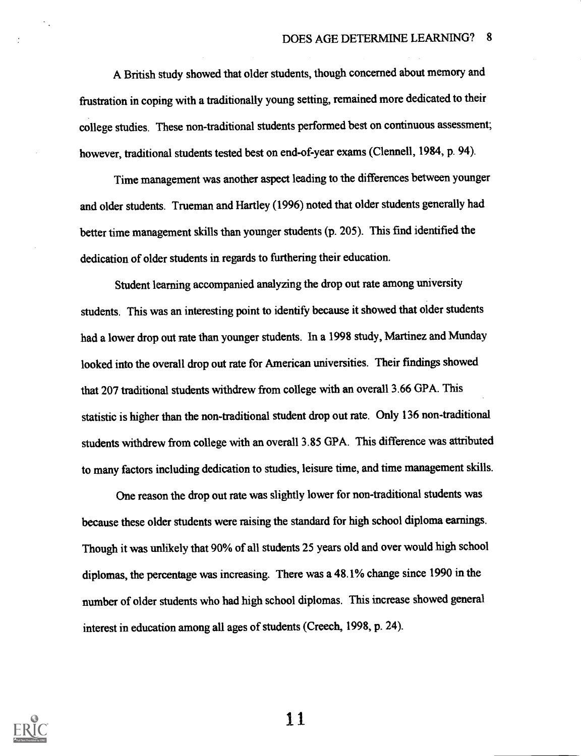A British study showed that older students, though concerned about memory and frustration in coping with a traditionally young setting, remained more dedicated to their college studies. These non-traditional students performed best on continuous assessment; however, traditional students tested best on end-of-year exams (Clennell, 1984, p. 94).

Time management was another aspect leading to the differences between younger and older students. Trueman and Hartley (1996) noted that older students generally had better time management skills than younger students (p. 205). This find identified the dedication of older students in regards to furthering their education.

Student learning accompanied analyzing the drop out rate among university students. This was an interesting point to identify because it showed that older students had a lower drop out rate than younger students. In a 1998 study, Martinez and Munday looked into the overall drop out rate for American universities. Their findings showed that 207 traditional students withdrew from college with an overall 3.66 GPA. This statistic is higher than the non-traditional student drop out rate. Only 136 non-traditional students withdrew from college with an overall 3.85 GPA. This difference was attributed to many factors including dedication to studies, leisure time, and time management skills.

One reason the drop out rate was slightly lower for non-traditional students was because these older students were raising the standard for high school diploma earnings. Though it was unlikely that 90% of all students 25 years old and over would high school diplomas, the percentage was increasing, There was a 48.1% change since 1990 in the number of older students who had high school diplomas. This increase showed general interest in education among all ages of students (Creech, 1998, p. 24).

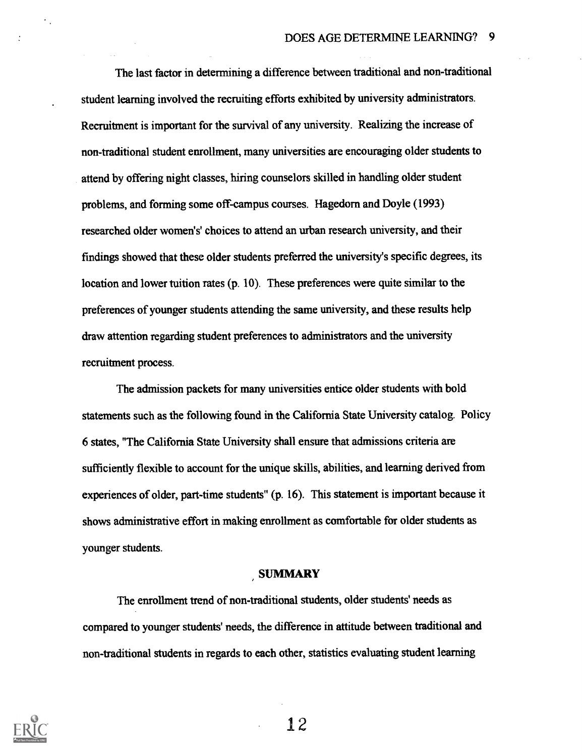The last factor in determining a difference between traditional and non-traditional student learning involved the recruiting efforts exhibited by university administrators. Recruitment is important for the survival of any university. Realizing the increase of non-traditional student enrollment, many universities are encouraging older students to attend by offering night classes, hiring counselors skilled in handling older student problems, and forming some off-campus courses. Hagedom and Doyle (1993) researched older women's' choices to attend an urban research university, and their findings showed that these older students preferred the university's specific degrees, its location and lower tuition rates (p. 10). These preferences were quite similar to the preferences of younger students attending the same university, and these results help draw attention regarding student preferences to administrators and the university recruitment process.

The admission packets for many universities entice older students with bold statements such as the following found in the California State University catalog. Policy 6 states, "The California State University shall ensure that admissions criteria are sufficiently flexible to account for the unique skills, abilities, and learning derived from experiences of older, part-time students" (p. 16). This statement is important because it shows administrative effort in making enrollment as comfortable for older students as younger students.

#### SUMMARY

The enrollment trend of non-traditional students, older students' needs as compared to younger students' needs, the difference in attitude between traditional and non-traditional students in regards to each other, statistics evaluating student learning

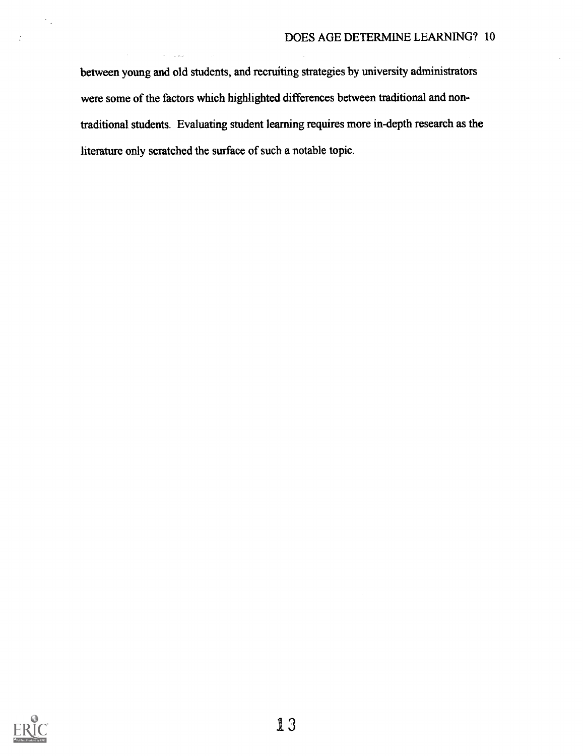between young and old students, and recruiting strategies by university administrators were some of the factors which highlighted differences between traditional and nontraditional students. Evaluating student learning requires more in-depth research as the literature only scratched the surface of such a notable topic.



 $\hat{\gamma}$  .

 $\mathcal{L}$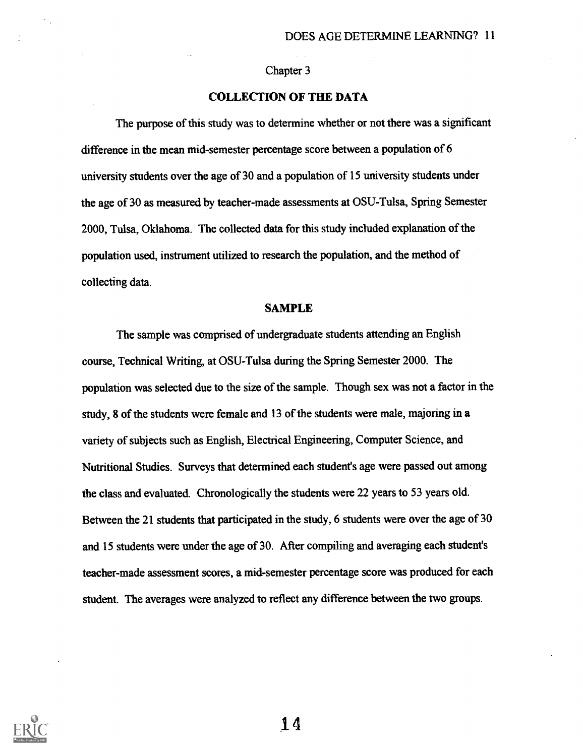#### Chapter 3

#### COLLECTION OF THE DATA

The purpose of this study was to determine whether or not there was a significant difference in the mean mid-semester percentage score between a population of 6 university students over the age of 30 and a population of 15 university students under the age of 30 as measured by teacher-made assessments at OSU-Tulsa, Spring Semester 2000, Tulsa, Oklahoma. The collected data for this study included explanation of the population used, instrument utilized to research the population, and the method of collecting data.

#### SAMPLE

The sample was comprised of undergraduate students attending an English course, Technical Writing, at OSU-Tulsa during the Spring Semester 2000. The population was selected due to the size of the sample. Though sex was not a factor in the study, 8 of the students were female and 13 of the students were male, majoring in a variety of subjects such as English, Electrical Engineering, Computer Science, and Nutritional Studies. Surveys that determined each student's age were passed out among the class and evaluated. Chronologically the students were 22 years to 53 years old. Between the 21 students that participated in the study, 6 students were over the age of 30 and 15 students were under the age of 30. After compiling and averaging each student's teacher-made assessment scores, a mid-semester percentage score was produced for each student. The averages were analyzed to reflect any difference between the two groups.

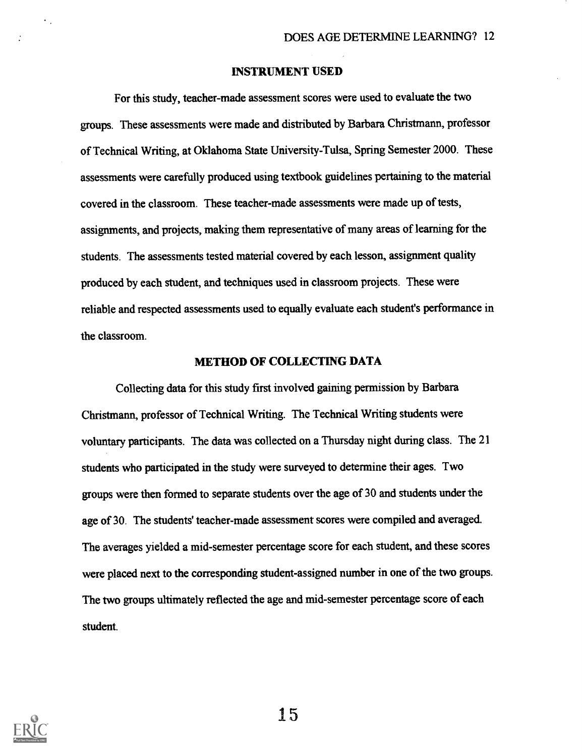#### INSTRUMENT USED

For this study, teacher-made assessment scores were used to evaluate the two groups. These assessments were made and distributed by Barbara Christmann, professor of Technical Writing, at Oklahoma State University-Tulsa, Spring Semester 2000. These assessments were carefully produced using textbook guidelines pertaining to the material covered in the classroom. These teacher-made assessments were made up of tests, assignments, and projects, making them representative of many areas of learning for the students. The assessments tested material covered by each lesson, assignment quality produced by each student, and techniques used in classroom projects. These were reliable and respected assessments used to equally evaluate each student's performance in the classroom.

#### METHOD OF COLLECTING DATA

Collecting data for this study first involved gaining permission by Barbara Christmann, professor of Technical Writing. The Technical Writing students were voluntary participants. The data was collected on a Thursday night during class. The 21 students who participated in the study were surveyed to determine their ages. Two groups were then formed to separate students over the age of 30 and students under the age of 30. The students' teacher-made assessment scores were compiled and averaged. The averages yielded a mid-semester percentage score for each student, and these scores were placed next to the corresponding student-assigned number in one of the two groups. The two groups ultimately reflected the age and mid-semester percentage score of each student.



 $\ddot{\phantom{0}}$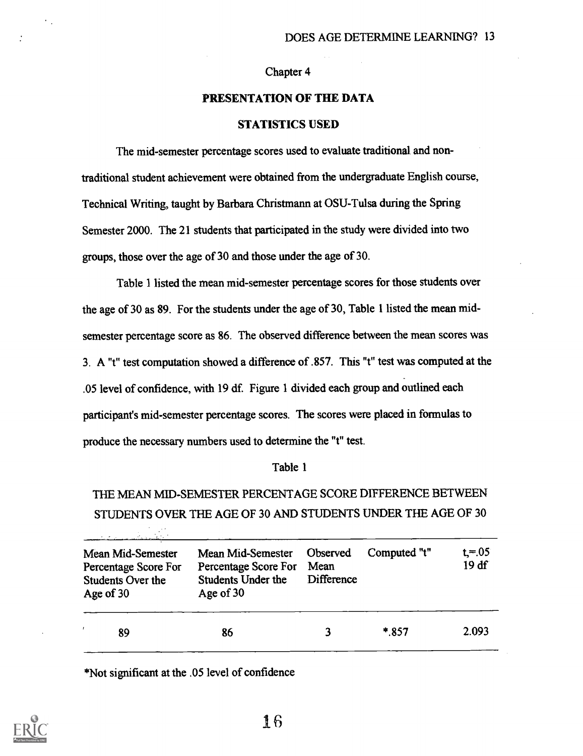#### Chapter 4

### PRESENTATION OF THE DATA

#### STATISTICS USED

The mid-semester percentage scores used to evaluate traditional and nontraditional student achievement were obtained from the undergraduate English course, Technical Writing, taught by Barbara Christman at OSU-Tulsa during the Spring Semester 2000. The 21 students that participated in the study were divided into two groups, those over the age of 30 and those under the age of 30.

Table I listed the mean mid-semester percentage scores for those students over the age of 30 as 89. For the students under the age of 30, Table 1 listed the mean midsemester percentage score as 86. The observed difference between the mean scores was 3. A "t" test computation showed a difference of .857. This "t" test was computed at the .05 level of confidence, with 19 df. Figure 1 divided each group and outlined each participant's mid-semester percentage scores. The scores were placed in formulas to produce the necessary numbers used to determine the "t" test.

#### Table 1

THE MEAN MID-SEMESTER PERCENTAGE SCORE DIFFERENCE BETWEEN STUDENTS OVER THE AGE OF 30 AND STUDENTS UNDER THE AGE OF 30

| Mean Mid-Semester<br>Percentage Score For<br>Students Over the<br>Age of 30 | Mean Mid-Semester<br>Percentage Score For<br><b>Students Under the</b><br>Age of 30 | Observed<br>Mean<br><b>Difference</b> | Computed "t" | $t = 05$<br>19 df |  |
|-----------------------------------------------------------------------------|-------------------------------------------------------------------------------------|---------------------------------------|--------------|-------------------|--|
| 89                                                                          | 86                                                                                  |                                       | $*857$       | 2.093             |  |

\*Not significant at the .05 level of confidence

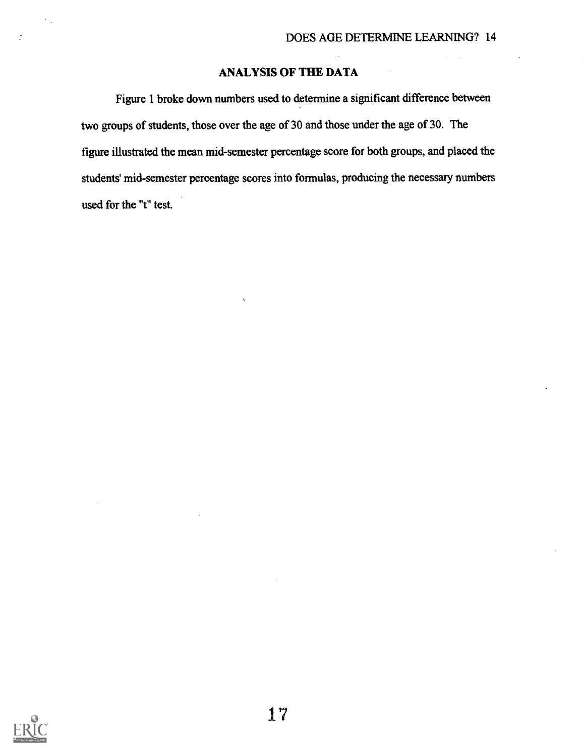## ANALYSIS OF THE DATA

Figure 1 broke down numbers used to determine a significant difference between two groups of students, those over the age of 30 and those under the age of 30. The figure illustrated the mean mid-semester percentage score for both groups, and placed the students' mid-semester percentage scores into formulas, producing the necessary numbers used for the "t" test.



 $\cdot$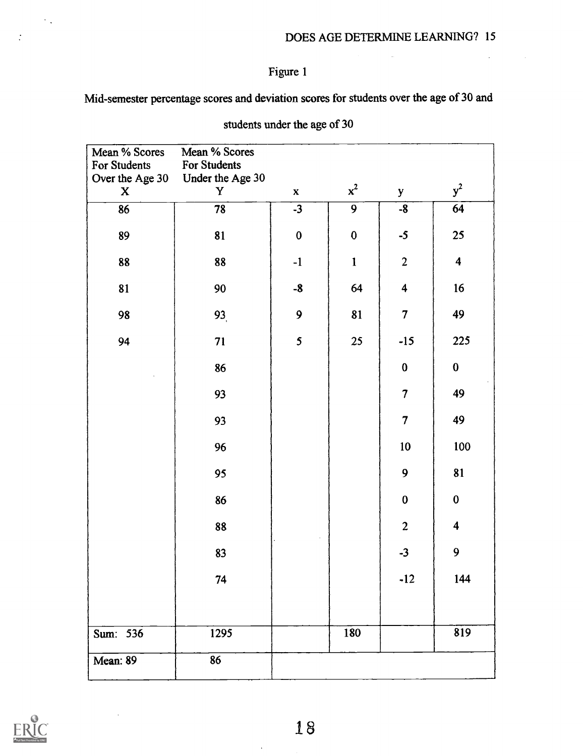$\mathcal{L}$ 

## Figure 1

Mid-semester percentage scores and deviation scores for students over the age of 30 and

| Mean % Scores            | Mean % Scores    |              |                |                          |                         |
|--------------------------|------------------|--------------|----------------|--------------------------|-------------------------|
| For Students             | For Students     |              |                |                          |                         |
| Over the Age 30          | Under the Age 30 |              |                |                          |                         |
| $\mathbf{X}$             | Y                | $\mathbf{x}$ | $x^2$          | y                        | $y^2$                   |
| $\overline{\textbf{86}}$ | $\overline{78}$  | $-3$         | $\overline{9}$ | $-8$                     | $\overline{64}$         |
| 89                       | 81               | $\pmb{0}$    | $\bf{0}$       | $-5$                     | 25                      |
| 88                       | 88               | $-1$         | $\mathbf{1}$   | $\overline{2}$           | $\overline{\mathbf{4}}$ |
| 81                       | 90               | $-8$         | 64             | $\overline{\mathbf{4}}$  | 16                      |
| 98                       | 93,              | 9            | 81             | $\overline{7}$           | 49                      |
| 94                       | 71               | 5            | 25             | $-15$                    | 225                     |
|                          | 86               |              |                | $\pmb{0}$                | $\bf{0}$                |
|                          | 93               |              |                | $\overline{\mathcal{L}}$ | 49                      |
|                          | 93               |              |                | $\overline{7}$           | 49                      |
|                          | 96               |              |                | 10 <sub>1</sub>          | 100                     |
|                          | 95               |              |                | 9                        | 81                      |
|                          | 86               |              |                | $\bf{0}$                 | $\bf{0}$                |
|                          | 88               |              |                | $\overline{2}$           | $\overline{\mathbf{4}}$ |
|                          | 83               |              |                | $-3$                     | 9                       |
|                          | 74               |              |                | $-12$                    | 144                     |
| Sum: 536                 | 1295             |              | 180            |                          | 819                     |
| Mean: 89                 | 86               |              |                |                          |                         |

students under the age of 30



 $\sim$   $\sim$ 

 $\ddot{\cdot}$ 

 $\ddot{\phantom{1}}$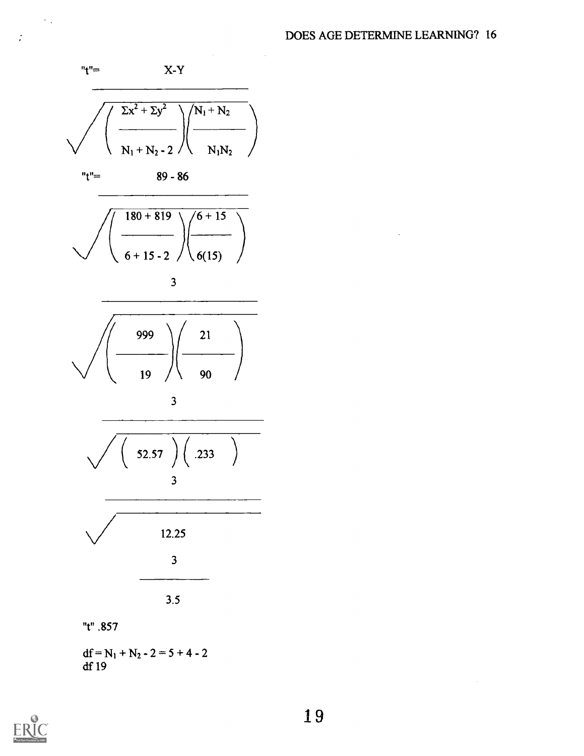

df 19



 $\epsilon_{\rm{th}}$ 

 $\ddot{\cdot}$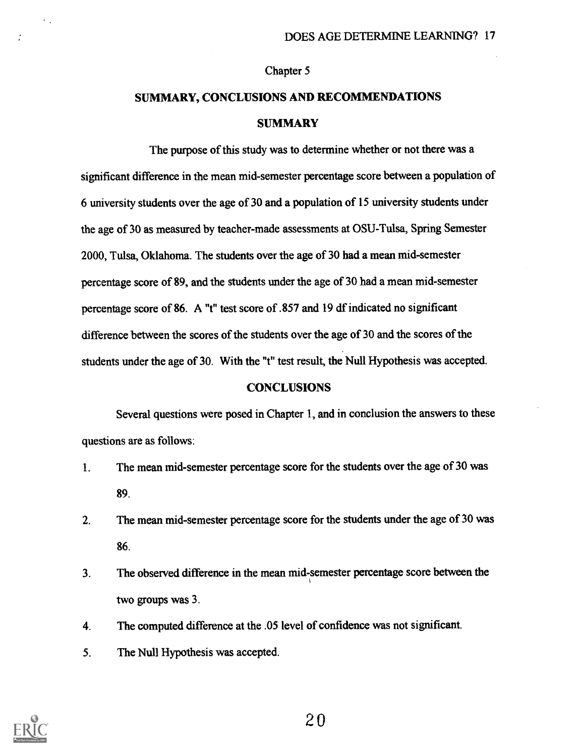#### Chapter 5

## SUMMARY, CONCLUSIONS AND RECOMMENDATIONS **SUMMARY**

The purpose of this study was to determine whether or not there was a significant difference in the mean mid-semester percentage score between a population of 6 university students over the age of 30 and a population of 15 university students under the age of 30 as measured by teacher-made assessments at OSU- Tulsa, Spring Semester 2000, Tulsa, Oklahoma. The students over the age of 30 had a mean mid-semester percentage score of 89, and the students under the age of 30 had a mean mid-semester percentage score of 86. A "t" test score of .857 and 19 df indicated no significant difference between the scores of the students over the age of 30 and the scores of the students under the age of 30. With the "t" test result, the Null Hypothesis was accepted.

#### **CONCLUSIONS**

Several questions were posed in Chapter 1, and in conclusion the answers to these questions are as follows:

- 1. The mean mid-semester percentage score for the students over the age of 30 was 89.
- 2. The mean mid-semester percentage score for the students under the age of 30 was 86.
- 3. The observed difference in the mean mid-semester percentage score between the two groups was 3.
- 4. The computed difference at the .05 level of confidence was not significant.
- 5. The Null Hypothesis was accepted.



 $\epsilon_{\rm{eff}}$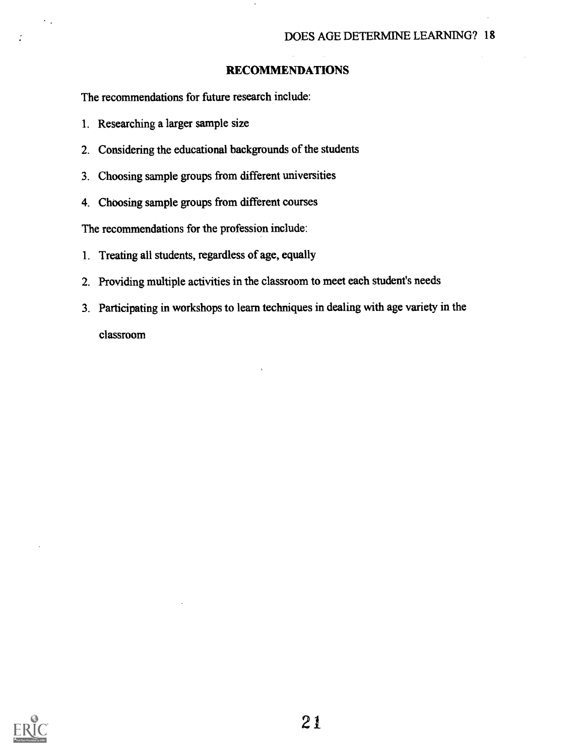#### RECOMMENDATIONS

The recommendations for future research include:

- 1. Researching a larger sample size
- 2. Considering the educational backgrounds of the students
- 3. Choosing sample groups from different universities
- 4. Choosing sample groups from different courses

The recommendations for the profession include:

- 1. Treating all students, regardless of age, equally
- 2. Providing multiple activities in the classroom to meet each student's needs
- 3. Participating in workshops to learn techniques in dealing with age variety in the classroom



 $\overline{\phantom{a}}$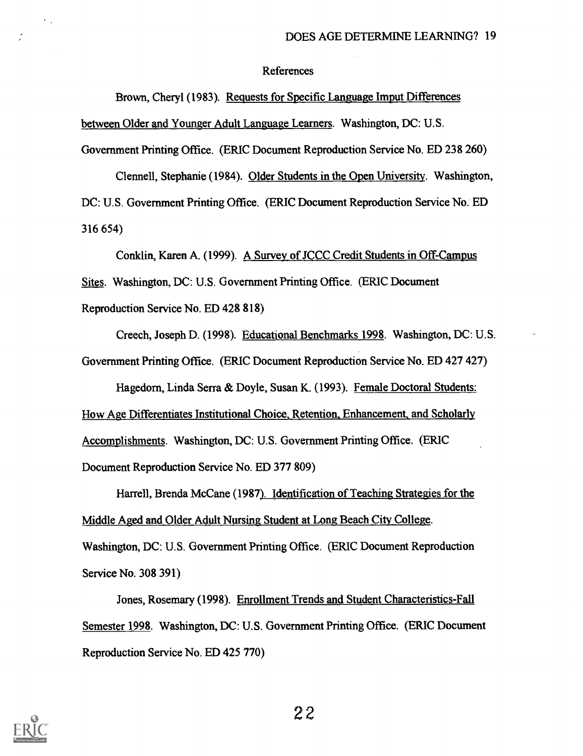#### References

Brown, Cheryl (1983). Requests for Specific Language Imput Differences between Older and Younger Adult Language Learners. Washington, DC: U.S. Government Printing Office. (ERIC Document Reproduction Service No. ED 238 260)

Clennell, Stephanie (1984). Older Students in the Open University. Washington, DC: U.S. Government Printing Office. (ERIC Document Reproduction Service No. ED 316 654)

Conklin, Karen A. (1999). A Survey of JCCC Credit Students in Off-Campus Sites. Washington, DC: U.S. Government Printing Office. (ERIC Document Reproduction Service No. ED 428 818)

Creech, Joseph D. (1998). Educational Benchmarks 1998. Washington, DC: U.S. Government Printing Office. (ERIC Document Reproduction Service No. ED 427 427) Hagedorn, Linda Serra & Doyle, Susan K. (1993). Female Doctoral Students: How Age Differentiates Institutional Choice, Retention, Enhancement, and Scholarly Accomplishments. Washington, DC: U.S. Government Printing Office. (ERIC Document Reproduction Service No. ED 377 809)

Harrell, Brenda Mc Cane (1987). Identification of Teaching Strategies for the Middle Aged and Older Adult Nursing Student at Long Beach City College. Washington, DC: U.S. Government Printing Office. (ERIC Document Reproduction Service No. 308 391)

Jones, Rosemary (1998). Enrollment Trends and Student Characteristics-Fall Semester 1998. Washington, DC: U.S. Government Printing Office. (ERIC Document Reproduction Service No. ED 425 770)



 $\ddot{\phantom{0}}$  ,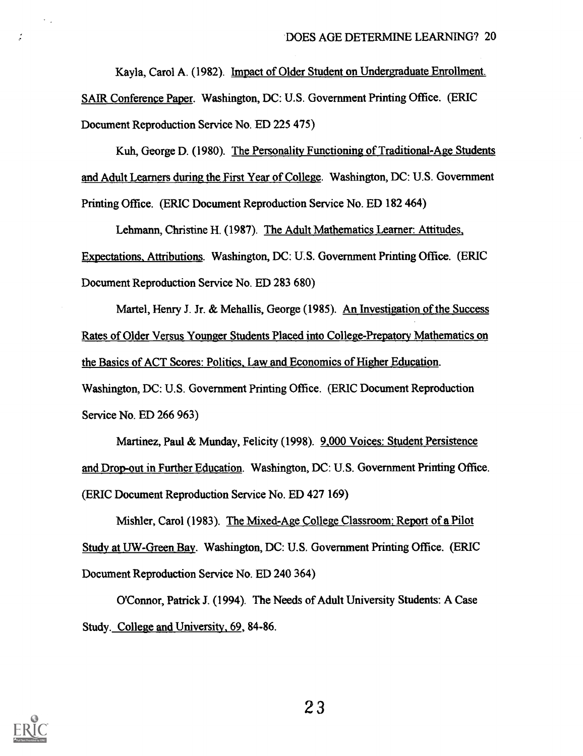Kayla, Carol A. (1982). Impact of Older Student on Undergraduate Enrollment. SAIR Conference Paper. Washington, DC: U.S. Government Printing Office. (ERIC Document Reproduction Service No. ED 225 475)

Kuh, George D. (1980). The Personality Functioning of Traditional-Age Students and Adult Learners during the First Year of College. Washington, DC: U.S. Government Printing Office. (ERIC Document Reproduction Service No. ED 182 464)

Lehmann, Christine H. (1987). The Adult Mathematics Learner: Attitudes, Expectations, Attributions. Washington, DC- U.S. Government Printing Office. (ERIC Document Reproduction Service No. ED 283 680)

Martel, Henry J. Jr. & Mehallis, George (1985). An Investigation of the Success Rates of Older Versus Younger Students Placed into College-Prepatory Mathematics on the Basics of ACT Scores: Politics, Law and Economics of Higher Education.

Washington, DC: U.S. Government Printing Office. (ERIC Document Reproduction Service No. ED 266 963)

Martinez, Paul & Munday, Felicity (1998). 9,000 Voices: Student Persistence and Drop-out in Further Education. Washington, DC: U.S. Government Printing Office. (ERIC Document Reproduction Service No. ED 427 169)

Mishler, Carol (1983). The Mixed-Age College Classroom; Report of a Pilot Study at UW-Green Bay. Washington, DC: U.S. Government Printing Office. (ERIC Document Reproduction Service No. ED 240 364)

O'Connor, Patrick J. (1994). The Needs of Adult University Students: A Case Study. College and University, 69, 84-86.



÷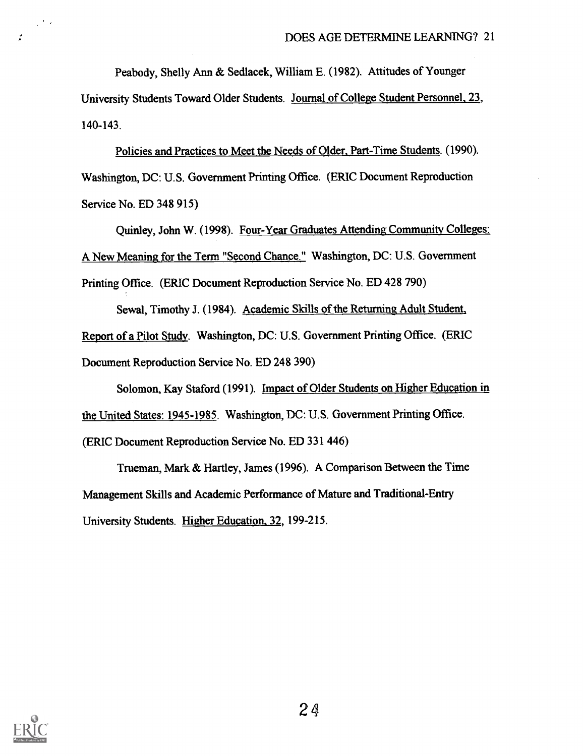Peabody, Shelly Ann & Sedlacek, William E. (1982). Attitudes of Younger

University Students Toward Older Students. Journal of College Student Personnel, 23, 140-143.

Policies and Practices to Meet the Needs of Older, Part-Time Students. (1990). Washington, DC: U.S. Government Printing Office. (ERIC Document Reproduction Service No. ED 348 915)

Quinley, John W. (1998). Four-Year Graduates Attending Community Colleges: A New Meaning for the Term "Second Chance." Washington, DC: U.S. Government Printing Office. (ERIC Document Reproduction Service No. ED 428 790)

Sewal, Timothy J. (1984). Academic Skills of the Returning Adult Student, Report of a Pilot Study. Washington, DC: U.S. Government Printing Office. (ERIC Document Reproduction Service No. ED 248 390)

Solomon, Kay Staford (1991). Impact of Older Students on Higher Education in the United States: 1945-1985. Washington, DC: U.S. Government Printing Office. (ERIC Document Reproduction Service No. ED 331 446)

Trueman, Mark & Hartley, James (1996). A Comparison Between the Time Management Skills and Academic Performance of Mature and Traditional-Entry University Students. Higher Education, 32, 199-215.



 $\frac{1}{2}$  ,  $\frac{1}{2}$ 

 $\mathcal{L}$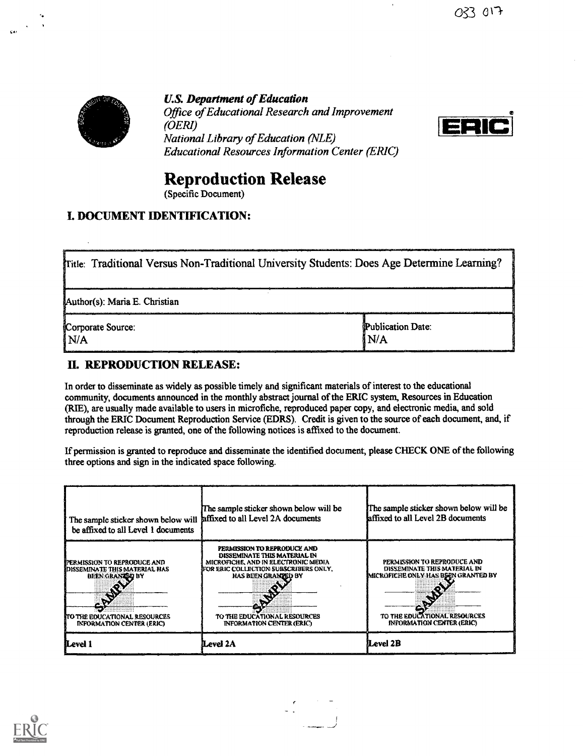

U.S. Department of Education Office of Educational Research and Improvement (OERI) National Library of Education (NLE) Educational Resources Information Center (ERIC)



## Reproduction Release

(Specific Document)

## I. DOCUMENT IDENTIFICATION:

| Tritle: Traditional Versus Non-Traditional University Students: Does Age Determine Learning? |                            |  |
|----------------------------------------------------------------------------------------------|----------------------------|--|
| Author(s): Maria E. Christian                                                                |                            |  |
| Corporate Source:<br>I N/A                                                                   | Publication Date:<br>I N/A |  |

## IL REPRODUCTION RELEASE:

In order to disseminate as widely as possible timely and significant materials of interest to the educational community, documents announced in the monthly abstract journal of the ERIC system, Resources in Education (RIE), are usually made available to users in microfiche, reproduced paper copy, and electronic media, and sold through the ERIC Document Reproduction Service (EDRS). Credit is given to the source of each document, and, if reproduction release is granted, one of the following notices is affixed to the document.

If permission is granted to reproduce and disseminate the identified document, please CHECK ONE of the following three options and sign in the indicated space following.

| The sample sticker shown below will affixed to all Level 2A documents<br>be affixed to all Level 1 documents                                                  | The sample sticker shown below will be                                                                                                                                                                                                 | The sample sticker shown below will be<br>affixed to all Level 2B documents                                                                                             |
|---------------------------------------------------------------------------------------------------------------------------------------------------------------|----------------------------------------------------------------------------------------------------------------------------------------------------------------------------------------------------------------------------------------|-------------------------------------------------------------------------------------------------------------------------------------------------------------------------|
| IPERMISSION TO REPRODUCE AND<br>IDISSEMINATE THIS MATERIAL HAS<br><b>BEEN GRANZBD BY</b><br>ITO THE EDUCATIONAL RESOURCES<br><b>INFORMATION CENTER (ERIC)</b> | PERMISSION TO REPRODUCE AND<br>DISSEMINATE THIS MATERIAL IN<br>MICROFICHE, AND IN ELECTRONIC MEDIA<br>FOR ERIC COLLECTION SUBSCRIBERS ONLY,<br>HAS BEEN GRANDED BY<br>TO THE EDUCATIONAL RESOURCES<br><b>INFORMATION CENTER (ERIC)</b> | PERMISSION TO REPRODUCE AND<br>DISSEMINATE THIS MATERIAL IN<br>IMICROFICHE ONLY HAS BEEN GRANTED BY<br>TO THE EDUCATIONAL RESOURCES<br><b>INFORMATION CENTER (ERIC)</b> |
| Level 1                                                                                                                                                       | Level 2A                                                                                                                                                                                                                               | Level 2B                                                                                                                                                                |

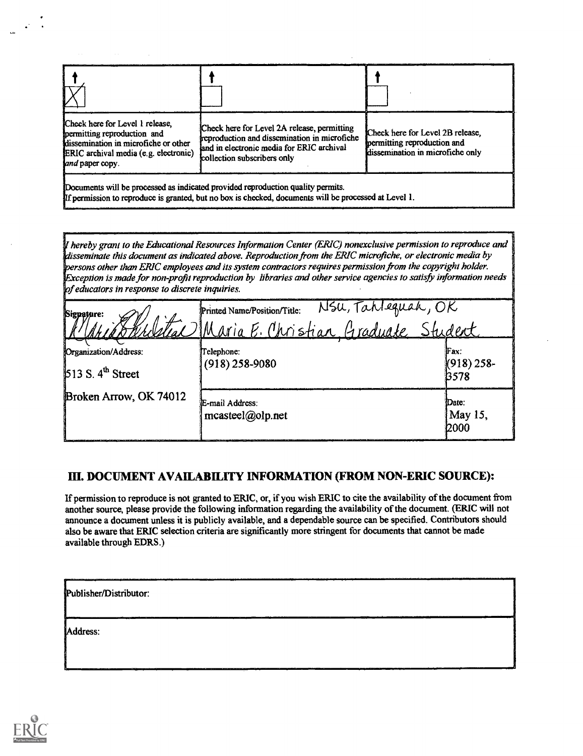| Check here for Level 1 release,<br>permitting reproduction and<br>dissemination in microfiche or other<br>ERIC archival media (e.g. electronic)<br>land paper copy. | Check here for Level 2A release, permitting<br>reproduction and dissemination in microfiche<br>land in electronic media for ERIC archival<br>collection subscribers only                 | Check here for Level 2B release,<br>permitting reproduction and<br>dissemination in microfiche only |
|---------------------------------------------------------------------------------------------------------------------------------------------------------------------|------------------------------------------------------------------------------------------------------------------------------------------------------------------------------------------|-----------------------------------------------------------------------------------------------------|
|                                                                                                                                                                     | Documents will be processed as indicated provided reproduction quality permits.<br>If permission to reproduce is granted, but no box is checked, documents will be processed at Level 1. |                                                                                                     |

hereby grant to the Educational Resources Information Center (ERIC) nonexclusive permission to reproduce and disseminate this document as indicated above. Reproduction from the ERIC microfiche, or electronic media by persons other than ERIC employees and its system contractors requires permission from the copyright holder. Exception is made for non-profit reproduction by libraries and other service agencies to satisfy information needs of educators in response to discrete inquiries.

| Signature:                                             | Nsu, Tahleguah, OK<br>Printed Name/Position/Title:<br>Weltac Maria E. Christian, Graduate Student |                              |
|--------------------------------------------------------|---------------------------------------------------------------------------------------------------|------------------------------|
| Organization/Address:<br>513 S. 4 <sup>th</sup> Street | Telephone:<br>$(918)$ 258-9080                                                                    | Fax:<br>$(918)$ 258-<br>B578 |
| Broken Arrow, OK 74012                                 | E-mail Address:<br>$measted(\omega_0)$ <sub>net</sub>                                             | Date:<br>May 15,<br>12000    |

## III. DOCUMENT AVAILABILITY INFORMATION (FROM NON-ERIC SOURCE):

If permission to reproduce is not granted to ERIC, or, if you wish ERIC to cite the availability of the document from another source, please provide the following information regarding the availability of the document. (ERIC will not announce a document unless it is publicly available, and a dependable source can be specified. Contributors should also be aware that ERIC selection criteria are significantly more stringent for documents that cannot be made available through EDRS.)

| Publisher/Distributor: |
|------------------------|
| Address:               |
| ---                    |